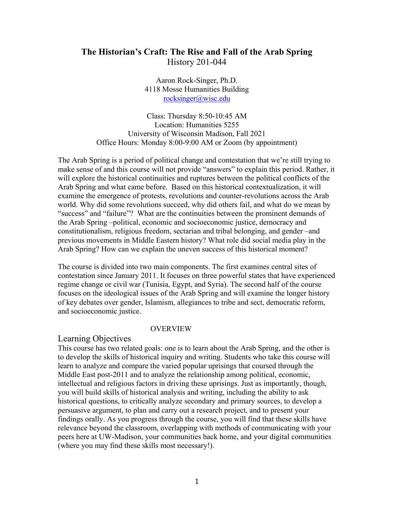# **The Historian's Craft: The Rise and Fall of the Arab Spring**  History 201-044

Aaron Rock-Singer, Ph.D. 4118 Mosse Humanities Building rocksinger@wisc.edu

Class: Thursday 8:50-10:45 AM Location: Humanities 5255 University of Wisconsin Madison, Fall 2021 Office Hours: Monday 8:00-9:00 AM or Zoom (by appointment)

The Arab Spring is a period of political change and contestation that we're still trying to make sense of and this course will not provide "answers" to explain this period. Rather, it will explore the historical continuities and ruptures between the political conflicts of the Arab Spring and what came before. Based on this historical contextualization, it will examine the emergence of protests, revolutions and counter-revolutions across the Arab world. Why did some revolutions succeed, why did others fail, and what do we mean by "success" and "failure"? What are the continuities between the prominent demands of the Arab Spring –political, economic and socioeconomic justice, democracy and constitutionalism, religious freedom, sectarian and tribal belonging, and gender –and previous movements in Middle Eastern history? What role did social media play in the Arab Spring? How can we explain the uneven success of this historical moment?

The course is divided into two main components. The first examines central sites of contestation since January 2011. It focuses on three powerful states that have experienced regime change or civil war (Tunisia, Egypt, and Syria). The second half of the course focuses on the ideological issues of the Arab Spring and will examine the longer history of key debates over gender, Islamism, allegiances to tribe and sect, democratic reform, and socioeconomic justice.

#### OVERVIEW

#### Learning Objectives

This course has two related goals: one is to learn about the Arab Spring, and the other is to develop the skills of historical inquiry and writing. Students who take this course will learn to analyze and compare the varied popular uprisings that coursed through the Middle East post-2011 and to analyze the relationship among political, economic, intellectual and religious factors in driving these uprisings. Just as importantly, though, you will build skills of historical analysis and writing, including the ability to ask historical questions, to critically analyze secondary and primary sources, to develop a persuasive argument, to plan and carry out a research project, and to present your findings orally. As you progress through the course, you will find that these skills have relevance beyond the classroom, overlapping with methods of communicating with your peers here at UW-Madison, your communities back home, and your digital communities (where you may find these skills most necessary!).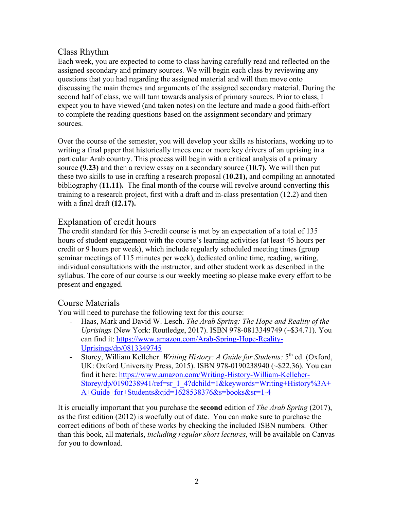# Class Rhythm

Each week, you are expected to come to class having carefully read and reflected on the assigned secondary and primary sources. We will begin each class by reviewing any questions that you had regarding the assigned material and will then move onto discussing the main themes and arguments of the assigned secondary material. During the second half of class, we will turn towards analysis of primary sources. Prior to class, I expect you to have viewed (and taken notes) on the lecture and made a good faith-effort to complete the reading questions based on the assignment secondary and primary sources.

Over the course of the semester, you will develop your skills as historians, working up to writing a final paper that historically traces one or more key drivers of an uprising in a particular Arab country. This process will begin with a critical analysis of a primary source **(9.23)** and then a review essay on a secondary source (**10.7).** We will then put these two skills to use in crafting a research proposal (**10.21),** and compiling an annotated bibliography (**11.11).** The final month of the course will revolve around converting this training to a research project, first with a draft and in-class presentation (12.2) and then with a final draft **(12.17).**

# Explanation of credit hours

The credit standard for this 3-credit course is met by an expectation of a total of 135 hours of student engagement with the course's learning activities (at least 45 hours per credit or 9 hours per week), which include regularly scheduled meeting times (group seminar meetings of 115 minutes per week), dedicated online time, reading, writing, individual consultations with the instructor, and other student work as described in the syllabus. The core of our course is our weekly meeting so please make every effort to be present and engaged.

# Course Materials

You will need to purchase the following text for this course:

- Haas, Mark and David W. Lesch. *The Arab Spring: The Hope and Reality of the Uprisings* (New York: Routledge, 2017). ISBN 978-0813349749 (~\$34.71). You can find it: https://www.amazon.com/Arab-Spring-Hope-Reality-Uprisings/dp/0813349745
- Storey, William Kelleher. *Writing History: A Guide for Students:* 5th ed. (Oxford, UK: Oxford University Press, 2015). ISBN 978-0190238940 (~\$22.36). You can find it here: https://www.amazon.com/Writing-History-William-Kelleher-Storey/dp/0190238941/ref=sr\_1\_4?dchild=1&keywords=Writing+History%3A+ A+Guide+for+Students&qid=1628538376&s=books&sr=1-4

It is crucially important that you purchase the **second** edition of *The Arab Spring* (2017), as the first edition (2012) is woefully out of date. You can make sure to purchase the correct editions of both of these works by checking the included ISBN numbers. Other than this book, all materials, *including regular short lectures*, will be available on Canvas for you to download.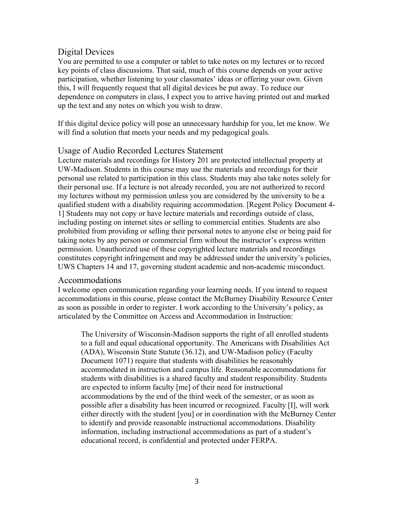# Digital Devices

You are permitted to use a computer or tablet to take notes on my lectures or to record key points of class discussions. That said, much of this course depends on your active participation, whether listening to your classmates' ideas or offering your own. Given this, I will frequently request that all digital devices be put away. To reduce our dependence on computers in class, I expect you to arrive having printed out and marked up the text and any notes on which you wish to draw.

If this digital device policy will pose an unnecessary hardship for you, let me know. We will find a solution that meets your needs and my pedagogical goals.

## Usage of Audio Recorded Lectures Statement

Lecture materials and recordings for History 201 are protected intellectual property at UW-Madison. Students in this course may use the materials and recordings for their personal use related to participation in this class. Students may also take notes solely for their personal use. If a lecture is not already recorded, you are not authorized to record my lectures without my permission unless you are considered by the university to be a qualified student with a disability requiring accommodation. [Regent Policy Document 4- 1] Students may not copy or have lecture materials and recordings outside of class, including posting on internet sites or selling to commercial entities. Students are also prohibited from providing or selling their personal notes to anyone else or being paid for taking notes by any person or commercial firm without the instructor's express written permission. Unauthorized use of these copyrighted lecture materials and recordings constitutes copyright infringement and may be addressed under the university's policies, UWS Chapters 14 and 17, governing student academic and non-academic misconduct.

### Accommodations

I welcome open communication regarding your learning needs. If you intend to request accommodations in this course, please contact the McBurney Disability Resource Center as soon as possible in order to register. I work according to the University's policy, as articulated by the Committee on Access and Accommodation in Instruction:

The University of Wisconsin-Madison supports the right of all enrolled students to a full and equal educational opportunity. The Americans with Disabilities Act (ADA), Wisconsin State Statute (36.12), and UW-Madison policy (Faculty Document 1071) require that students with disabilities be reasonably accommodated in instruction and campus life. Reasonable accommodations for students with disabilities is a shared faculty and student responsibility. Students are expected to inform faculty [me] of their need for instructional accommodations by the end of the third week of the semester, or as soon as possible after a disability has been incurred or recognized. Faculty [I], will work either directly with the student [you] or in coordination with the McBurney Center to identify and provide reasonable instructional accommodations. Disability information, including instructional accommodations as part of a student's educational record, is confidential and protected under FERPA.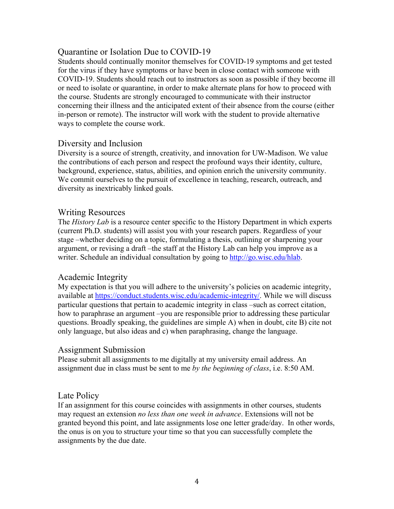## Quarantine or Isolation Due to COVID-19

Students should continually monitor themselves for COVID-19 symptoms and get tested for the virus if they have symptoms or have been in close contact with someone with COVID-19. Students should reach out to instructors as soon as possible if they become ill or need to isolate or quarantine, in order to make alternate plans for how to proceed with the course. Students are strongly encouraged to communicate with their instructor concerning their illness and the anticipated extent of their absence from the course (either in-person or remote). The instructor will work with the student to provide alternative ways to complete the course work.

## Diversity and Inclusion

Diversity is a source of strength, creativity, and innovation for UW-Madison. We value the contributions of each person and respect the profound ways their identity, culture, background, experience, status, abilities, and opinion enrich the university community. We commit ourselves to the pursuit of excellence in teaching, research, outreach, and diversity as inextricably linked goals.

## Writing Resources

The *History Lab* is a resource center specific to the History Department in which experts (current Ph.D. students) will assist you with your research papers. Regardless of your stage –whether deciding on a topic, formulating a thesis, outlining or sharpening your argument, or revising a draft –the staff at the History Lab can help you improve as a writer. Schedule an individual consultation by going to http://go.wisc.edu/hlab.

## Academic Integrity

My expectation is that you will adhere to the university's policies on academic integrity, available at https://conduct.students.wisc.edu/academic-integrity/. While we will discuss particular questions that pertain to academic integrity in class –such as correct citation, how to paraphrase an argument –you are responsible prior to addressing these particular questions. Broadly speaking, the guidelines are simple A) when in doubt, cite B) cite not only language, but also ideas and c) when paraphrasing, change the language.

### Assignment Submission

Please submit all assignments to me digitally at my university email address. An assignment due in class must be sent to me *by the beginning of class*, i.e. 8:50 AM.

## Late Policy

If an assignment for this course coincides with assignments in other courses, students may request an extension *no less than one week in advance*. Extensions will not be granted beyond this point, and late assignments lose one letter grade/day. In other words, the onus is on you to structure your time so that you can successfully complete the assignments by the due date.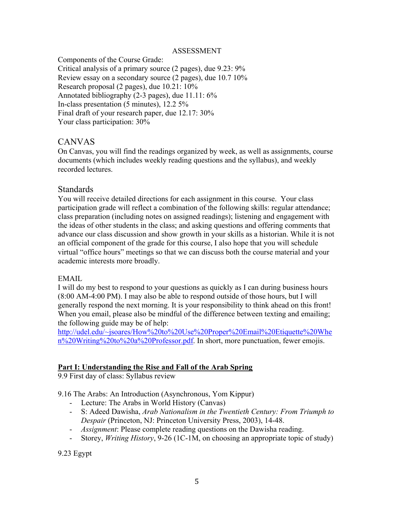#### ASSESSMENT

Components of the Course Grade: Critical analysis of a primary source (2 pages), due 9.23: 9% Review essay on a secondary source (2 pages), due 10.7 10% Research proposal (2 pages), due 10.21: 10% Annotated bibliography (2-3 pages), due 11.11: 6% In-class presentation (5 minutes), 12.2 5% Final draft of your research paper, due 12.17: 30% Your class participation: 30%

## CANVAS

On Canvas, you will find the readings organized by week, as well as assignments, course documents (which includes weekly reading questions and the syllabus), and weekly recorded lectures.

### **Standards**

You will receive detailed directions for each assignment in this course. Your class participation grade will reflect a combination of the following skills: regular attendance; class preparation (including notes on assigned readings); listening and engagement with the ideas of other students in the class; and asking questions and offering comments that advance our class discussion and show growth in your skills as a historian. While it is not an official component of the grade for this course, I also hope that you will schedule virtual "office hours" meetings so that we can discuss both the course material and your academic interests more broadly.

#### EMAIL

I will do my best to respond to your questions as quickly as I can during business hours (8:00 AM-4:00 PM). I may also be able to respond outside of those hours, but I will generally respond the next morning. It is your responsibility to think ahead on this front! When you email, please also be mindful of the difference between texting and emailing; the following guide may be of help:

http://udel.edu/~jsoares/How%20to%20Use%20Proper%20Email%20Etiquette%20Whe n%20Writing%20to%20a%20Professor.pdf. In short, more punctuation, fewer emojis.

### **Part I: Understanding the Rise and Fall of the Arab Spring**

9.9 First day of class: Syllabus review

9.16 The Arabs: An Introduction (Asynchronous, Yom Kippur)

- Lecture: The Arabs in World History (Canvas)
- S: Adeed Dawisha, *Arab Nationalism in the Twentieth Century: From Triumph to Despair* (Princeton, NJ: Princeton University Press, 2003), 14-48.
- *Assignment*: Please complete reading questions on the Dawisha reading.
- Storey, *Writing History*, 9-26 (1C-1M, on choosing an appropriate topic of study)

9.23 Egypt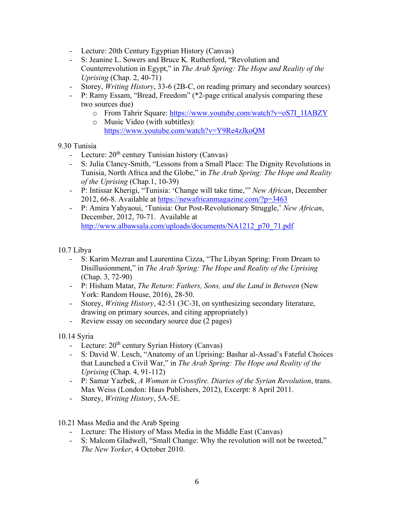- Lecture: 20th Century Egyptian History (Canvas)
- S: Jeanine L. Sowers and Bruce K. Rutherford, "Revolution and Counterrevolution in Egypt," in *The Arab Spring: The Hope and Reality of the Uprising* (Chap. 2, 40-71)
- Storey, *Writing History*, 33-6 (2B-C, on reading primary and secondary sources)
- P: Ramy Essam, "Bread, Freedom" (\*2-page critical analysis comparing these two sources due)
	- o From Tahrir Square: https://www.youtube.com/watch?v=oS7I\_1IABZY
	- o Music Video (with subtitles):
		- https://www.youtube.com/watch?v=Y9Re4zJkoQM

9.30 Tunisia

- Lecture:  $20<sup>th</sup>$  century Tunisian history (Canvas)
- S: Julia Clancy-Smith, "Lessons from a Small Place: The Dignity Revolutions in Tunisia, North Africa and the Globe," in *The Arab Spring: The Hope and Reality of the Uprising* (Chap.1, 10-39)
- P: Intissar Kherigi, "Tunisia: 'Change will take time,'" *New African*, December 2012, 66-8. Available at https://newafricanmagazine.com/?p=3463
- P: Amira Yahyaoui, 'Tunisia: Our Post-Revolutionary Struggle,' *New African*, December, 2012, 70-71. Available at http://www.albawsala.com/uploads/documents/NA1212\_p70\_71.pdf

10.7 Libya

- S: Karim Mezran and Laurentina Cizza, "The Libyan Spring: From Dream to Disillusionment," in *The Arab Spring: The Hope and Reality of the Uprising*  (Chap. 3, 72-90)
- P: Hisham Matar, *The Return*: *Fathers, Sons, and the Land in Between* (New York: Random House, 2016), 28-50.
- Storey, *Writing History*, 42-51 (3C-3I, on synthesizing secondary literature, drawing on primary sources, and citing appropriately)
- Review essay on secondary source due (2 pages)

10.14 Syria

- Lecture:  $20<sup>th</sup>$  century Syrian History (Canvas)
- S: David W. Lesch, "Anatomy of an Uprising: Bashar al-Assad's Fateful Choices that Launched a Civil War," in *The Arab Spring: The Hope and Reality of the Uprising* (Chap. 4, 91-112)
- P: Samar Yazbek, *A Woman in Crossfire. Diaries of the Syrian Revolution*, trans. Max Weiss (London: Haus Publishers, 2012), Excerpt: 8 April 2011.
- Storey, *Writing History*, 5A-5E.
- 10.21 Mass Media and the Arab Spring
	- Lecture: The History of Mass Media in the Middle East (Canvas)
	- S: Malcom Gladwell, "Small Change: Why the revolution will not be tweeted," *The New Yorker*, 4 October 2010.